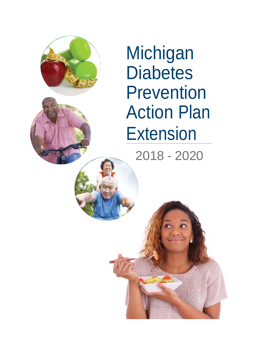

**Michigan Diabetes** Prevention Action Plan **Extension** 

2018 - 2020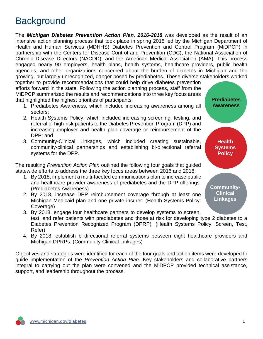## **Background**

The *Michigan Diabetes Prevention Action Plan, 2016-2018* was developed as the result of an intensive action planning process that took place in spring 2015 led by the Michigan Department of Health and Human Services (MDHHS) Diabetes Prevention and Control Program (MiDPCP) in partnership with the Centers for Disease Control and Prevention (CDC), the National Association of Chronic Disease Directors (NACDD), and the American Medical Association (AMA). This process engaged nearly 90 employers, health plans, health systems, healthcare providers, public health agencies, and other organizations concerned about the burden of diabetes in Michigan and the growing, but largely unrecognized, danger posed by prediabetes. These diverse stakeholders worked together to provide recommendations that could help drive diabetes prevention

efforts forward in the state. Following the action planning process, staff from the MiDPCP summarized the results and recommendations into three key focus areas that highlighted the highest priorities of participants:

- 1. Prediabetes Awareness, which included increasing awareness among all sectors;
- 2. Health Systems Policy, which included increasing screening, testing, and referral of high-risk patients to the Diabetes Prevention Program (DPP) and increasing employer and health plan coverage or reimbursement of the DPP; and
- 3. Community-Clinical Linkages, which included creating sustainable, community-clinical partnerships and establishing bi-directional referral systems for the DPP.

The resulting *Prevention Action Plan* outlined the following four goals that guided statewide efforts to address the three key focus areas between 2016 and 2018:

- 1. By 2018, implement a multi-faceted communications plan to increase public and healthcare provider awareness of prediabetes and the DPP offerings. (Prediabetes Awareness)
- 2. By 2018, increase DPP reimbursement coverage through at least one Michigan Medicaid plan and one private insurer. (Health Systems Policy: Coverage)
- **Prediabetes Awareness Community-Clinical Linkages Health Systems Policy**
- 3. By 2018, engage four healthcare partners to develop systems to screen, test, and refer patients with prediabetes and those at risk for developing type 2 diabetes to a Diabetes Prevention Recognized Program (DPRP). (Health Systems Policy: Screen, Test, Refer)
- 4. By 2018, establish bi-directional referral systems between eight healthcare providers and Michigan DPRPs. (Community-Clinical Linkages)

Objectives and strategies were identified for each of the four goals and action items were developed to guide implementation of the *Prevention Action Plan*. Key stakeholders and collaborative partners integral to carrying out the plan were convened and the MiDPCP provided technical assistance, support, and leadership throughout the process.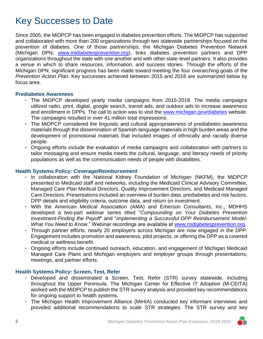## Key Successes to Date

Since 2005, the MiDPCP has been engaged in diabetes prevention efforts. The MiDPCP has supported and collaborated with more than 200 organizations through two statewide partnerships focused on the prevention of diabetes. One of those partnerships, the Michigan Diabetes Prevention Network (Michigan DPN; [www.midiabetesprevention.org\)](http://www.midiabetesprevention.org/), links diabetes prevention partners and DPP organizations throughout the state with one another and with other state-level partners. It also provides a venue in which to share resources, information, and success stories. Through the efforts of the Michigan DPN, significant progress has been made toward meeting the four overarching goals of the *Prevention Action Plan*. Key successes achieved between 2015 and 2018 are summarized below by focus area.

### **Prediabetes Awareness**

- The MiDPCP developed yearly media campaigns from 2015-2018. The media campaigns utilized radio, print, digital, google search, transit ads, and outdoor ads to increase awareness and enrollment in DPPs. The call to action was to visit the [www.michigan.gov/diabetes](http://www.michigan.gov/diabetes) website. The campaigns resulted in over 41 million total impressions.
- The MiDPCP considered the linguistic and cultural appropriateness of prediabetes awareness materials through the dissemination of Spanish-language materials in high burden areas and the development of promotional materials that included images of ethnically and racially diverse people.
- Ongoing efforts include the evaluation of media campaigns and collaboration with partners to tailor messaging and ensure media meets the cultural, language, and literacy needs of priority populations as well as the communication needs of people with disabilities.

### **Health Systems Policy: Coverage/Reimbursement**

- In collaboration with the National Kidney Foundation of Michigan (NKFM), the MiDPCP presented to Medicaid staff and networks, including the Medicaid Clinical Advisory Committee, Managed Care Plan Medical Directors, Quality Improvement Directors, and Medicaid Managed Care Directors. Presentations included an overview of burden data, prediabetes and risk factors, DPP details and eligibility criteria, outcome data, and return on investment.
- With the American Medical Association (AMA) and Emerson Consultants, Inc., MDHHS developed a two-part webinar series titled "*Compounding on Your Diabetes Prevention Investment-Finding the Payoff*" and "*Implementing a Successful DPP Reimbursement Model-What You Need to Know*." Webinar recordings are available at [www.midiabetesprevention.org.](http://www.midiabetesprevention.org/)
- Through partner efforts, nearly 20 employers across Michigan are now engaged in the DPP. Engagement includes promotion and awareness, pilot projects, or offering the DPP as a covered medical or wellness benefit.
- Ongoing efforts include continued outreach, education, and engagement of Michigan Medicaid Managed Care Plans and Michigan employers and employer groups through presentations, meetings, and partner efforts.

### **Health Systems Policy: Screen, Test, Refer**

- Developed and disseminated a Screen, Test, Refer (STR) survey statewide, including throughout the Upper Peninsula. The Michigan Center for Effective IT Adoption (M-CEITA) worked with the MiDPCP to publish the STR survey analysis and provided key recommendations for ongoing support to health systems.
- The Michigan Health Improvement Alliance (MiHIA) conducted key informant interviews and provided additional recommendations to scale STR strategies. The STR survey and key

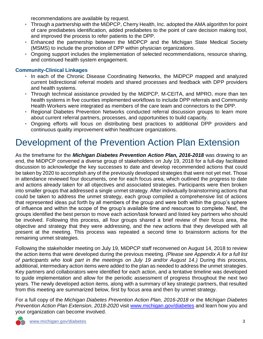recommendations are available by request.

- Through a partnership with the MiDPCP, Cherry Health, Inc. adopted the AMA algorithm for point of care prediabetes identification, added prediabetes to the point of care decision making tool, and improved the process to refer patients to the DPP.
- Enhanced the partnership between the MiDPCP and the Michigan State Medical Society (MSMS) to include the promotion of DPP within physician organizations.
- Ongoing support includes the implementation of selected recommendations, resource sharing, and continued health system engagement.

### **Community-Clinical Linkages**

- In each of the Chronic Disease Coordinating Networks, the MiDPCP mapped and analyzed current bidirectional referral models and shared processes and feedback with DPP providers and health systems.
- Through technical assistance provided by the MiDPCP, M-CEITA, and MPRO, more than ten health systems in five counties implemented workflows to include DPP referrals and Community Health Workers were integrated as members of the care team and connectors to the DPP.
- Regional Diabetes Prevention Networks conducted referral discussion groups to learn more about current referral partners, processes, and opportunities to build capacity.
- Ongoing efforts will focus on distributing best practices to additional DPP providers and continuous quality improvement within healthcare organizations.

## Development of the Prevention Action Plan Extension

As the timeframe for the *Michigan Diabetes Prevention Action Plan, 2016-2018* was drawing to an end, the MiDPCP convened a diverse group of stakeholders on July 19, 2018 for a full-day facilitated discussion to acknowledge the key successes to date and develop recommended actions that could be taken by 2020 to accomplish any of the previously developed strategies that were not yet met. Those in attendance reviewed four documents, one for each focus area, which outlined the progress to date and actions already taken for all objectives and associated strategies. Participants were then broken into smaller groups that addressed a single unmet strategy. After individually brainstorming actions that could be taken to address the unmet strategy, each group compiled a comprehensive list of actions that represented ideas put forth by all members of the group and were both within the group's sphere of influence and within the scope of the group's available time and resources to complete. Next, the groups identified the best person to move each action/task forward and listed key partners who should be involved. Following this process, all four groups shared a brief review of their focus area, the objective and strategy that they were addressing, and the new actions that they developed with all present at the meeting. This process was repeated a second time to brainstorm actions for the remaining unmet strategies.

Following the stakeholder meeting on July 19, MiDPCP staff reconvened on August 14, 2018 to review the action items that were developed during the previous meeting. *(Please see Appendix A for a full list of participants who took part in the meetings on July 19 and/or August 14.)* During this process, additional, intermediary action items were added to the plan as needed to address the unmet strategies. Key partners and collaborators were identified for each action, and a tentative timeline was developed to guide implementation and allow for the periodic assessment of progress throughout the next two years. The newly developed action items, along with a summary of key strategic partners, that resulted from this meeting are summarized below, first by focus area and then by unmet strategy.

For a full copy of the *Michigan Diabetes Prevention Action Plan, 2016-2018* or the *Michigan Diabetes Prevention Action Plan Extension, 2018-2020* visit [www.michigan.gov/diabetes](http://www.michigan.gov/diabetes) and learn how you and your organization can become involved.

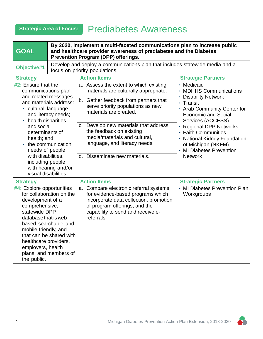## **Strategic Area of Focus:** Prediabetes Awareness

| <b>GOAL</b>                                                                                                                                                                                                                                                                                                                                             |                                                                                                        | By 2020, implement a multi-faceted communications plan to increase public<br>and healthcare provider awareness of prediabetes and the Diabetes<br><b>Prevention Program (DPP) offerings.</b>                                                                                                                                                                    |                                                                                                                                                                                                                                                                                                                   |  |
|---------------------------------------------------------------------------------------------------------------------------------------------------------------------------------------------------------------------------------------------------------------------------------------------------------------------------------------------------------|--------------------------------------------------------------------------------------------------------|-----------------------------------------------------------------------------------------------------------------------------------------------------------------------------------------------------------------------------------------------------------------------------------------------------------------------------------------------------------------|-------------------------------------------------------------------------------------------------------------------------------------------------------------------------------------------------------------------------------------------------------------------------------------------------------------------|--|
| Objective#1                                                                                                                                                                                                                                                                                                                                             |                                                                                                        | Develop and deploy a communications plan that includes statewide media and a<br>focus on priority populations.                                                                                                                                                                                                                                                  |                                                                                                                                                                                                                                                                                                                   |  |
| <b>Strategy</b>                                                                                                                                                                                                                                                                                                                                         |                                                                                                        | <b>Action Items</b>                                                                                                                                                                                                                                                                                                                                             | <b>Strategic Partners</b>                                                                                                                                                                                                                                                                                         |  |
| #2: Ensure that the<br>communications plan<br>and related messages<br>and materials address:<br>· cultural, language,<br>and literacy needs;<br>• health disparities<br>and social<br>determinants of<br>health; and<br>• the communication<br>needs of people<br>with disabilities,<br>including people<br>with hearing and/or<br>visual disabilities. |                                                                                                        | a. Assess the extent to which existing<br>materials are culturally appropriate.<br>b. Gather feedback from partners that<br>serve priority populations as new<br>materials are created.<br>c. Develop new materials that address<br>the feedback on existing<br>media/materials and cultural,<br>language, and literacy needs.<br>d. Disseminate new materials. | • Medicaid<br>• MDHHS Communications<br>• Disability Network<br>• Transit<br>• Arab Community Center for<br><b>Economic and Social</b><br>Services (ACCESS)<br>• Regional DPP Networks<br>• Faith Communities<br>• National Kidney Foundation<br>of Michigan (NKFM)<br>• MI Diabetes Prevention<br><b>Network</b> |  |
| <b>Strategy</b>                                                                                                                                                                                                                                                                                                                                         |                                                                                                        | <b>Action Items</b>                                                                                                                                                                                                                                                                                                                                             | <b>Strategic Partners</b>                                                                                                                                                                                                                                                                                         |  |
| #4: Explore opportunities<br>development of a<br>comprehensive,<br>statewide DPP<br>database that is web-<br>mobile-friendly, and<br>healthcare providers,<br>employers, health<br>the public.                                                                                                                                                          | for collaboration on the<br>based, searchable, and<br>that can be shared with<br>plans, and members of | a. Compare electronic referral systems<br>for evidence-based programs which<br>incorporate data collection, promotion<br>of program offerings, and the<br>capability to send and receive e-<br>referrals.                                                                                                                                                       | • MI Diabetes Prevention Plan<br>Workgroups                                                                                                                                                                                                                                                                       |  |

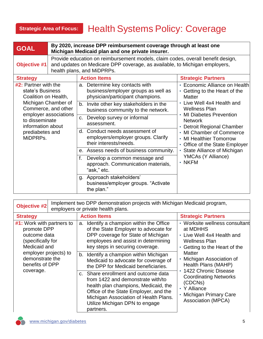## **Strategic Area of Focus:** Health Systems Policy: Coverage

| <b>GOAL</b>                                                                                                                                                                                                   | By 2020, increase DPP reimbursement coverage through at least one<br>Michigan Medicaid plan and one private insurer.                                                                        |                                                                                                           |                                                                                                                                                                                                                                                                 |
|---------------------------------------------------------------------------------------------------------------------------------------------------------------------------------------------------------------|---------------------------------------------------------------------------------------------------------------------------------------------------------------------------------------------|-----------------------------------------------------------------------------------------------------------|-----------------------------------------------------------------------------------------------------------------------------------------------------------------------------------------------------------------------------------------------------------------|
| <b>Objective #1</b>                                                                                                                                                                                           | Provide education on reimbursement models, claim codes, overall benefit design,<br>and updates on Medicare DPP coverage, as available, to Michigan employers,<br>health plans, and MiDPRPs. |                                                                                                           |                                                                                                                                                                                                                                                                 |
| <b>Strategy</b>                                                                                                                                                                                               |                                                                                                                                                                                             | <b>Action Items</b>                                                                                       | <b>Strategic Partners</b>                                                                                                                                                                                                                                       |
| #2: Partner with the<br>state's Business<br>Coalition on Health,<br>Michigan Chamber of<br>Commerce, and other<br>employer associations<br>to disseminate<br>information about<br>prediabetes and<br>MiDPRPs. |                                                                                                                                                                                             | a. Determine key contacts with<br>business/employer groups as well as<br>physician/participant champions. | • Economic Alliance on Health<br>Getting to the Heart of the<br><b>Matter</b>                                                                                                                                                                                   |
|                                                                                                                                                                                                               |                                                                                                                                                                                             | b. Invite other key stakeholders in the<br>business community to the network.                             | • Live Well 4x4 Health and<br><b>Wellness Plan</b><br><b>MI Diabetes Prevention</b><br><b>Network</b><br><b>Detroit Regional Chamber</b><br>• MI Chamber of Commerce<br>• MI Healthier Tomorrow<br>Office of the State Employer<br>• State Alliance of Michigan |
|                                                                                                                                                                                                               |                                                                                                                                                                                             | c. Develop survey or informal<br>assessment.                                                              |                                                                                                                                                                                                                                                                 |
|                                                                                                                                                                                                               |                                                                                                                                                                                             | d. Conduct needs assessment of<br>employers/employer groups. Clarify<br>their interests/needs.            |                                                                                                                                                                                                                                                                 |
|                                                                                                                                                                                                               |                                                                                                                                                                                             | e. Assess needs of business community.                                                                    |                                                                                                                                                                                                                                                                 |
|                                                                                                                                                                                                               | f.                                                                                                                                                                                          | Develop a common message and<br>approach. Communication materials,<br>"ask," etc.                         | YMCAs (Y Alliance)<br>$\cdot$ NKFM                                                                                                                                                                                                                              |
|                                                                                                                                                                                                               |                                                                                                                                                                                             | g. Approach stakeholders'<br>business/employer groups. "Activate<br>the plan."                            |                                                                                                                                                                                                                                                                 |

| <b>Objective #2</b>                                                                           | Implement two DPP demonstration projects with Michigan Medicaid program,<br>employers or private health plans.                                                                                                                                     |                                                                                                                                                                                                                                                                                                                                                     |  |  |
|-----------------------------------------------------------------------------------------------|----------------------------------------------------------------------------------------------------------------------------------------------------------------------------------------------------------------------------------------------------|-----------------------------------------------------------------------------------------------------------------------------------------------------------------------------------------------------------------------------------------------------------------------------------------------------------------------------------------------------|--|--|
| <b>Strategy</b>                                                                               | <b>Action Items</b>                                                                                                                                                                                                                                | <b>Strategic Partners</b>                                                                                                                                                                                                                                                                                                                           |  |  |
| #1: Work with partners to<br>promote DPP<br>outcome data<br>(specifically for<br>Medicaid and | Identify a champion within the Office<br>a.<br>of the State Employer to advocate for<br>DPP coverage for State of Michigan<br>employees and assist in determining<br>key steps in securing coverage.                                               | • Worksite wellness consultant<br>at MDHHS<br>• Live Well 4x4 Health and<br><b>Wellness Plan</b><br>Getting to the Heart of the<br>$\bullet$<br>Matter<br>Michigan Association of<br>Health Plans (MAHP)<br>• 1422 Chronic Disease<br><b>Coordinating Networks</b><br>(CDCNs)<br>• Y Alliance<br><b>Michigan Primary Care</b><br>Association (MPCA) |  |  |
| employer projects) to<br>demonstrate the<br>benefits of DPP                                   | b. Identify a champion within Michigan<br>Medicaid to advocate for coverage of<br>the DPP for Medicaid beneficiaries.                                                                                                                              |                                                                                                                                                                                                                                                                                                                                                     |  |  |
| coverage.                                                                                     | c. Share enrollment and outcome data<br>from 1422 and demonstrate with/to<br>health plan champions, Medicaid, the<br>Office of the State Employer, and the<br>Michigan Association of Health Plans.<br>Utilize Michigan DPN to engage<br>partners. |                                                                                                                                                                                                                                                                                                                                                     |  |  |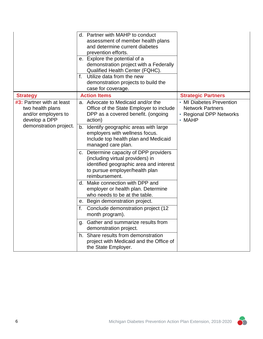|                                                                                       | d. Partner with MAHP to conduct<br>assessment of member health plans<br>and determine current diabetes<br>prevention efforts.<br>e. Explore the potential of a<br>demonstration project with a Federally<br>Qualified Health Center (FQHC).<br>Utilize data from the new<br>f.<br>demonstration projects to build the<br>case for coverage. |                                                                                                |
|---------------------------------------------------------------------------------------|---------------------------------------------------------------------------------------------------------------------------------------------------------------------------------------------------------------------------------------------------------------------------------------------------------------------------------------------|------------------------------------------------------------------------------------------------|
| <b>Strategy</b>                                                                       | <b>Action Items</b>                                                                                                                                                                                                                                                                                                                         | <b>Strategic Partners</b>                                                                      |
| #3: Partner with at least<br>two health plans<br>and/or employers to<br>develop a DPP | a. Advocate to Medicaid and/or the<br>Office of the State Employer to include<br>DPP as a covered benefit. (ongoing<br>action)                                                                                                                                                                                                              | • MI Diabetes Prevention<br><b>Network Partners</b><br>• Regional DPP Networks<br>$\cdot$ MAHP |
| demonstration project.                                                                | b. Identify geographic areas with large<br>employers with wellness focus.<br>Include top health plan and Medicaid<br>managed care plan.                                                                                                                                                                                                     |                                                                                                |
|                                                                                       | c. Determine capacity of DPP providers<br>(including virtual providers) in<br>identified geographic area and interest<br>to pursue employer/health plan<br>reimbursement.                                                                                                                                                                   |                                                                                                |
|                                                                                       | d. Make connection with DPP and<br>employer or health plan. Determine<br>who needs to be at the table.                                                                                                                                                                                                                                      |                                                                                                |
|                                                                                       | e. Begin demonstration project.                                                                                                                                                                                                                                                                                                             |                                                                                                |
|                                                                                       | Conclude demonstration project (12<br>f.<br>month program).                                                                                                                                                                                                                                                                                 |                                                                                                |
|                                                                                       | g. Gather and summarize results from<br>demonstration project.                                                                                                                                                                                                                                                                              |                                                                                                |
|                                                                                       | h. Share results from demonstration<br>project with Medicaid and the Office of<br>the State Employer.                                                                                                                                                                                                                                       |                                                                                                |

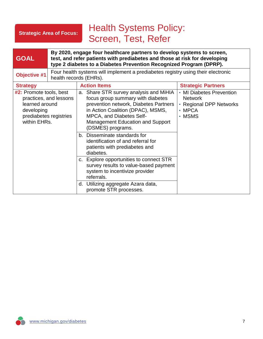### **Strategic Area of Focus:**

## Health Systems Policy: Screen, Test, Refer

| <b>GOAL</b>                                                                                                                        |                                                                                                            | By 2020, engage four healthcare partners to develop systems to screen,<br>test, and refer patients with prediabetes and those at risk for developing<br>type 2 diabetes to a Diabetes Prevention Recognized Program (DPRP).                                  |                                                                                                       |
|------------------------------------------------------------------------------------------------------------------------------------|------------------------------------------------------------------------------------------------------------|--------------------------------------------------------------------------------------------------------------------------------------------------------------------------------------------------------------------------------------------------------------|-------------------------------------------------------------------------------------------------------|
| <b>Objective #1</b>                                                                                                                | Four health systems will implement a prediabetes registry using their electronic<br>health records (EHRs). |                                                                                                                                                                                                                                                              |                                                                                                       |
| <b>Strategy</b>                                                                                                                    |                                                                                                            | <b>Action Items</b>                                                                                                                                                                                                                                          | <b>Strategic Partners</b>                                                                             |
| <b>#2:</b> Promote tools, best<br>practices, and lessons<br>learned around<br>developing<br>prediabetes registries<br>within EHRs. |                                                                                                            | a. Share STR survey analysis and MiHIA<br>focus group summary with diabetes<br>prevention network, Diabetes Partners<br>in Action Coalition (DPAC), MSMS,<br><b>MPCA, and Diabetes Self-</b><br><b>Management Education and Support</b><br>(DSMES) programs. | • MI Diabetes Prevention<br><b>Network</b><br>• Regional DPP Networks<br>$\cdot$ MPCA<br>$\cdot$ MSMS |
|                                                                                                                                    |                                                                                                            | b. Disseminate standards for<br>identification of and referral for<br>patients with prediabetes and<br>diabetes.                                                                                                                                             |                                                                                                       |
|                                                                                                                                    |                                                                                                            | c. Explore opportunities to connect STR<br>survey results to value-based payment<br>system to incentivize provider<br>referrals.                                                                                                                             |                                                                                                       |
|                                                                                                                                    |                                                                                                            | d. Utilizing aggregate Azara data,<br>promote STR processes.                                                                                                                                                                                                 |                                                                                                       |

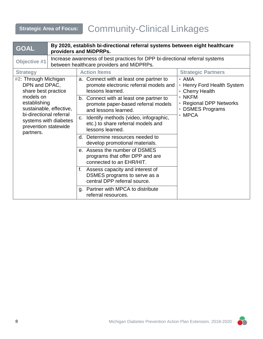# **Strategic Area of Focus:** Community-Clinical Linkages

| <b>GOAL</b>                                                                                                                                   | By 2020, establish bi-directional referral systems between eight healthcare<br>providers and MiDPRPs. |                                                                                                                                                                       |              |
|-----------------------------------------------------------------------------------------------------------------------------------------------|-------------------------------------------------------------------------------------------------------|-----------------------------------------------------------------------------------------------------------------------------------------------------------------------|--------------|
| <b>Objective #1</b>                                                                                                                           |                                                                                                       | Increase awareness of best practices for DPP bi-directional referral systems<br>between healthcare providers and MiDPRPs.                                             |              |
| <b>Strategy</b>                                                                                                                               |                                                                                                       | <b>Action Items</b><br><b>Strategic Partners</b>                                                                                                                      |              |
| #2: Through Michigan<br>DPN and DPAC,<br>share best practice                                                                                  |                                                                                                       | a. Connect with at least one partner to<br>$\cdot$ AMA<br>promote electronic referral models and<br>• Henry Ford Health System<br>lessons learned.<br>• Cherry Health |              |
| models on<br>establishing<br>sustainable, effective,<br>bi-directional referral<br>systems with diabetes<br>prevention statewide<br>partners. |                                                                                                       | $\cdot$ NKFM<br>b. Connect with at least one partner to<br>• Regional DPP Networks<br>promote paper-based referral models<br>• DSMES Programs<br>and lessons learned. |              |
|                                                                                                                                               |                                                                                                       | c. Identify methods (video, infographic,<br>etc.) to share referral models and<br>lessons learned.                                                                    | $\cdot$ MPCA |
|                                                                                                                                               |                                                                                                       | d. Determine resources needed to<br>develop promotional materials.                                                                                                    |              |
|                                                                                                                                               |                                                                                                       | e. Assess the number of DSMES<br>programs that offer DPP and are<br>connected to an EHR/HIT.                                                                          |              |
|                                                                                                                                               |                                                                                                       | Assess capacity and interest of<br>f.<br>DSMES programs to serve as a<br>central DPP referral source.                                                                 |              |
|                                                                                                                                               |                                                                                                       | g. Partner with MPCA to distribute<br>referral resources.                                                                                                             |              |

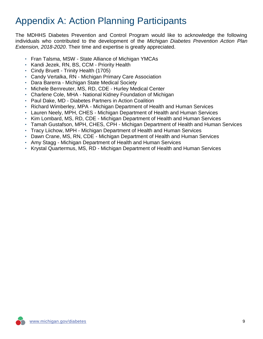## Appendix A: Action Planning Participants

The MDHHS Diabetes Prevention and Control Program would like to acknowledge the following individuals who contributed to the development of the *Michigan Diabetes Prevention Action Plan Extension, 2018-2020*. Their time and expertise is greatly appreciated.

- Fran Talsma, MSW State Alliance of Michigan YMCAs
- Kandi Jezek, RN, BS, CCM Priority Health
- Cindy Bruett Trinity Health (1705)
- Candy Vertalka, RN Michigan Primary Care Association
- Dara Barerra Michigan State Medical Society
- Michele Bernreuter, MS, RD, CDE Hurley Medical Center
- Charlene Cole, MHA National Kidney Foundation of Michigan
- Paul Dake, MD Diabetes Partners in Action Coalition
- Richard Wimberley, MPA Michigan Department of Health and Human Services
- Lauren Neely, MPH, CHES Michigan Department of Health and Human Services
- Kim Lombard, MS, RD, CDE Michigan Department of Health and Human Services
- Tamah Gustafson, MPH, CHES, CPH Michigan Department of Health and Human Services
- Tracy Liichow, MPH Michigan Department of Health and Human Services
- Dawn Crane, MS, RN, CDE Michigan Department of Health and Human Services
- Amy Stagg Michigan Department of Health and Human Services
- Krystal Quartermus, MS, RD Michigan Department of Health and Human Services